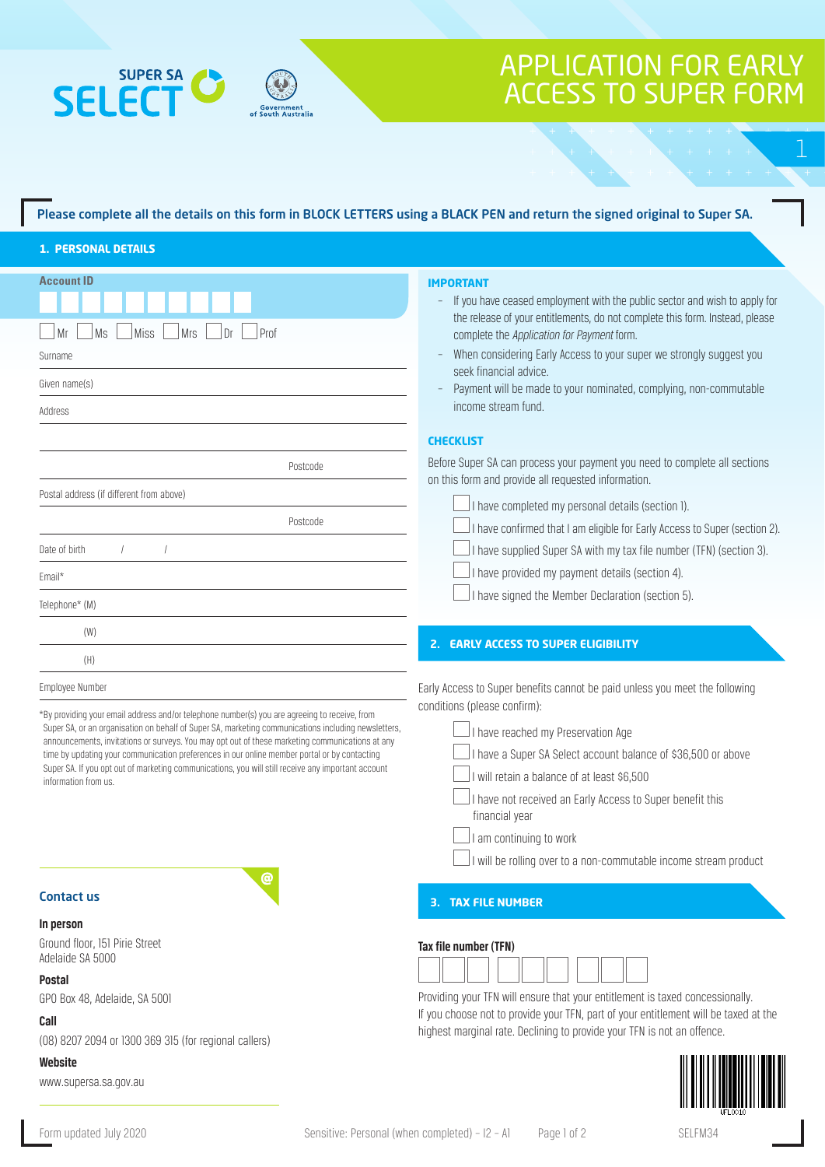



## Please complete all the details on this form in BLOCK LETTERS using a BLACK PEN and return the signed original to Super SA.

## **1. PERSONAL DETAILS**

| <b>Account ID</b>                                                                                                                                                                                                                                                                                                                                                                                                                                                                                                                     | <b>IMPORTANT</b>                                                                                                                                           |
|---------------------------------------------------------------------------------------------------------------------------------------------------------------------------------------------------------------------------------------------------------------------------------------------------------------------------------------------------------------------------------------------------------------------------------------------------------------------------------------------------------------------------------------|------------------------------------------------------------------------------------------------------------------------------------------------------------|
|                                                                                                                                                                                                                                                                                                                                                                                                                                                                                                                                       | If you have ceased employment with the public sector and wish to apply for<br>the release of your entitlements, do not complete this form. Instead, please |
| Prof<br><b>Miss</b><br><b>Mrs</b><br>Dr<br>Ms<br>Mr                                                                                                                                                                                                                                                                                                                                                                                                                                                                                   | complete the Application for Payment form.                                                                                                                 |
| Surname                                                                                                                                                                                                                                                                                                                                                                                                                                                                                                                               | When considering Early Access to your super we strongly suggest you                                                                                        |
| Given name(s)                                                                                                                                                                                                                                                                                                                                                                                                                                                                                                                         | seek financial advice.                                                                                                                                     |
|                                                                                                                                                                                                                                                                                                                                                                                                                                                                                                                                       | Payment will be made to your nominated, complying, non-commutable                                                                                          |
| Address                                                                                                                                                                                                                                                                                                                                                                                                                                                                                                                               | income stream fund.                                                                                                                                        |
|                                                                                                                                                                                                                                                                                                                                                                                                                                                                                                                                       | <b>CHECKLIST</b>                                                                                                                                           |
| Postcode                                                                                                                                                                                                                                                                                                                                                                                                                                                                                                                              | Before Super SA can process your payment you need to complete all sections<br>on this form and provide all requested information.                          |
| Postal address (if different from above)                                                                                                                                                                                                                                                                                                                                                                                                                                                                                              | I have completed my personal details (section 1).                                                                                                          |
| Postcode                                                                                                                                                                                                                                                                                                                                                                                                                                                                                                                              | I have confirmed that I am eligible for Early Access to Super (section 2).                                                                                 |
| Date of birth                                                                                                                                                                                                                                                                                                                                                                                                                                                                                                                         | I have supplied Super SA with my tax file number (TFN) (section 3).                                                                                        |
|                                                                                                                                                                                                                                                                                                                                                                                                                                                                                                                                       |                                                                                                                                                            |
| Email*                                                                                                                                                                                                                                                                                                                                                                                                                                                                                                                                | I have provided my payment details (section 4).                                                                                                            |
| Telephone* (M)                                                                                                                                                                                                                                                                                                                                                                                                                                                                                                                        | I have signed the Member Declaration (section 5).                                                                                                          |
| (W)                                                                                                                                                                                                                                                                                                                                                                                                                                                                                                                                   |                                                                                                                                                            |
| (H)                                                                                                                                                                                                                                                                                                                                                                                                                                                                                                                                   | <b>2. EARLY ACCESS TO SUPER ELIGIBILITY</b>                                                                                                                |
| Employee Number                                                                                                                                                                                                                                                                                                                                                                                                                                                                                                                       | Early Access to Super benefits cannot be paid unless you meet the following                                                                                |
|                                                                                                                                                                                                                                                                                                                                                                                                                                                                                                                                       | conditions (please confirm):                                                                                                                               |
| *By providing your email address and/or telephone number(s) you are agreeing to receive, from<br>Super SA, or an organisation on behalf of Super SA, marketing communications including newsletters,<br>announcements, invitations or surveys. You may opt out of these marketing communications at any<br>time by updating your communication preferences in our online member portal or by contacting<br>Super SA. If you opt out of marketing communications, you will still receive any important account<br>information from us. | I have reached my Preservation Age                                                                                                                         |
|                                                                                                                                                                                                                                                                                                                                                                                                                                                                                                                                       | I have a Super SA Select account balance of \$36,500 or above                                                                                              |
|                                                                                                                                                                                                                                                                                                                                                                                                                                                                                                                                       | I will retain a balance of at least \$6,500                                                                                                                |
|                                                                                                                                                                                                                                                                                                                                                                                                                                                                                                                                       | I have not received an Early Access to Super benefit this                                                                                                  |
|                                                                                                                                                                                                                                                                                                                                                                                                                                                                                                                                       | financial year                                                                                                                                             |
|                                                                                                                                                                                                                                                                                                                                                                                                                                                                                                                                       | I am continuing to work                                                                                                                                    |
|                                                                                                                                                                                                                                                                                                                                                                                                                                                                                                                                       | I will be rolling over to a non-commutable income stream product                                                                                           |
| ര                                                                                                                                                                                                                                                                                                                                                                                                                                                                                                                                     |                                                                                                                                                            |
| <b>Contact us</b>                                                                                                                                                                                                                                                                                                                                                                                                                                                                                                                     | <b>3. TAX FILE NUMBER</b>                                                                                                                                  |
| In person                                                                                                                                                                                                                                                                                                                                                                                                                                                                                                                             |                                                                                                                                                            |
| Ground floor, 151 Pirie Street                                                                                                                                                                                                                                                                                                                                                                                                                                                                                                        | Tax file number (TFN)                                                                                                                                      |
| Adelaide SA 5000                                                                                                                                                                                                                                                                                                                                                                                                                                                                                                                      |                                                                                                                                                            |
| <b>Postal</b><br>GPO Box 48, Adelaide, SA 5001                                                                                                                                                                                                                                                                                                                                                                                                                                                                                        | Providing your TFN will ensure that your entitlement is taxed concessionally.                                                                              |
| Coll                                                                                                                                                                                                                                                                                                                                                                                                                                                                                                                                  | If you choose not to provide your TFN, part of your entitlement will be taxed at the                                                                       |

**Call**

(08) 8207 2094 or 1300 369 315 (for regional callers)

## **Website**

www.supersa.sa.gov.au



highest marginal rate. Declining to provide your TFN is not an offence.